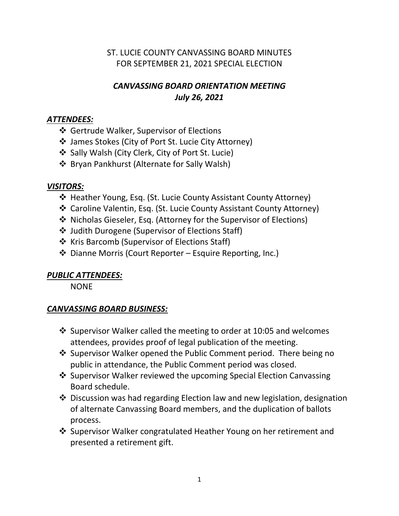# ST. LUCIE COUNTY CANVASSING BOARD MINUTES FOR SEPTEMBER 21, 2021 SPECIAL ELECTION

# *CANVASSING BOARD ORIENTATION MEETING July 26, 2021*

### *ATTENDEES:*

- Gertrude Walker, Supervisor of Elections
- James Stokes (City of Port St. Lucie City Attorney)
- ❖ Sally Walsh (City Clerk, City of Port St. Lucie)
- Bryan Pankhurst (Alternate for Sally Walsh)

### *VISITORS:*

- ❖ Heather Young, Esq. (St. Lucie County Assistant County Attorney)
- Caroline Valentin, Esq. (St. Lucie County Assistant County Attorney)
- Nicholas Gieseler, Esq. (Attorney for the Supervisor of Elections)
- Judith Durogene (Supervisor of Elections Staff)
- Kris Barcomb (Supervisor of Elections Staff)
- $\triangleq$  Dianne Morris (Court Reporter Esquire Reporting, Inc.)

# *PUBLIC ATTENDEES:*

**NONE** 

### *CANVASSING BOARD BUSINESS:*

- $\cdot$  Supervisor Walker called the meeting to order at 10:05 and welcomes attendees, provides proof of legal publication of the meeting.
- ❖ Supervisor Walker opened the Public Comment period. There being no public in attendance, the Public Comment period was closed.
- ❖ Supervisor Walker reviewed the upcoming Special Election Canvassing Board schedule.
- Discussion was had regarding Election law and new legislation, designation of alternate Canvassing Board members, and the duplication of ballots process.
- Supervisor Walker congratulated Heather Young on her retirement and presented a retirement gift.